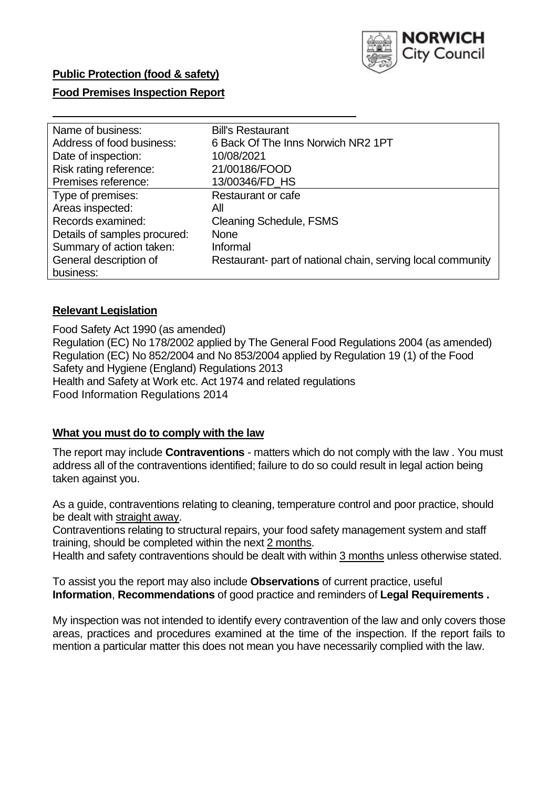

## **Public Protection (food & safety)**

### **Food Premises Inspection Report**

| Name of business:            | <b>Bill's Restaurant</b>                                    |
|------------------------------|-------------------------------------------------------------|
| Address of food business:    | 6 Back Of The Inns Norwich NR2 1PT                          |
| Date of inspection:          | 10/08/2021                                                  |
| Risk rating reference:       | 21/00186/FOOD                                               |
| Premises reference:          | 13/00346/FD HS                                              |
| Type of premises:            | Restaurant or cafe                                          |
| Areas inspected:             | All                                                         |
| Records examined:            | <b>Cleaning Schedule, FSMS</b>                              |
| Details of samples procured: | <b>None</b>                                                 |
| Summary of action taken:     | Informal                                                    |
| General description of       | Restaurant- part of national chain, serving local community |
| business:                    |                                                             |

### **Relevant Legislation**

Food Safety Act 1990 (as amended) Regulation (EC) No 178/2002 applied by The General Food Regulations 2004 (as amended) Regulation (EC) No 852/2004 and No 853/2004 applied by Regulation 19 (1) of the Food Safety and Hygiene (England) Regulations 2013 Health and Safety at Work etc. Act 1974 and related regulations Food Information Regulations 2014

#### **What you must do to comply with the law**

The report may include **Contraventions** - matters which do not comply with the law . You must address all of the contraventions identified; failure to do so could result in legal action being taken against you.

As a guide, contraventions relating to cleaning, temperature control and poor practice, should be dealt with straight away.

Contraventions relating to structural repairs, your food safety management system and staff training, should be completed within the next 2 months.

Health and safety contraventions should be dealt with within 3 months unless otherwise stated.

To assist you the report may also include **Observations** of current practice, useful **Information**, **Recommendations** of good practice and reminders of **Legal Requirements .**

My inspection was not intended to identify every contravention of the law and only covers those areas, practices and procedures examined at the time of the inspection. If the report fails to mention a particular matter this does not mean you have necessarily complied with the law.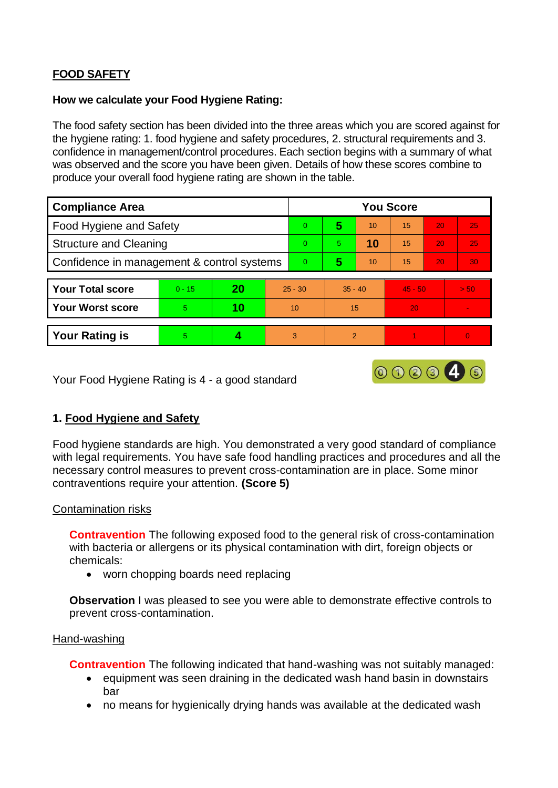# **FOOD SAFETY**

### **How we calculate your Food Hygiene Rating:**

The food safety section has been divided into the three areas which you are scored against for the hygiene rating: 1. food hygiene and safety procedures, 2. structural requirements and 3. confidence in management/control procedures. Each section begins with a summary of what was observed and the score you have been given. Details of how these scores combine to produce your overall food hygiene rating are shown in the table.

| <b>Compliance Area</b>                     |          |    |           | <b>You Score</b> |                |    |           |    |          |  |  |
|--------------------------------------------|----------|----|-----------|------------------|----------------|----|-----------|----|----------|--|--|
| <b>Food Hygiene and Safety</b>             |          |    |           | $\Omega$         | 5              | 10 | 15        | 20 | 25       |  |  |
| <b>Structure and Cleaning</b>              |          |    |           | $\Omega$         | 5.             | 10 | 15        | 20 | 25       |  |  |
| Confidence in management & control systems |          |    |           | $\overline{0}$   | 5              | 10 | 15        | 20 | 30       |  |  |
|                                            |          |    |           |                  |                |    |           |    |          |  |  |
| <b>Your Total score</b>                    | $0 - 15$ | 20 | $25 - 30$ |                  | $35 - 40$      |    | $45 - 50$ |    | > 50     |  |  |
| <b>Your Worst score</b>                    | 5        | 10 | 10        |                  | 15             |    | 20        |    |          |  |  |
|                                            |          |    |           |                  |                |    |           |    |          |  |  |
| <b>Your Rating is</b>                      | 5        |    |           | 3                | $\overline{2}$ |    |           |    | $\Omega$ |  |  |

Your Food Hygiene Rating is 4 - a good standard

# **1. Food Hygiene and Safety**

Food hygiene standards are high. You demonstrated a very good standard of compliance with legal requirements. You have safe food handling practices and procedures and all the necessary control measures to prevent cross-contamination are in place. Some minor contraventions require your attention. **(Score 5)**

000046

### Contamination risks

**Contravention** The following exposed food to the general risk of cross-contamination with bacteria or allergens or its physical contamination with dirt, foreign objects or chemicals:

• worn chopping boards need replacing

**Observation** I was pleased to see you were able to demonstrate effective controls to prevent cross-contamination.

#### Hand-washing

**Contravention** The following indicated that hand-washing was not suitably managed:

- equipment was seen draining in the dedicated wash hand basin in downstairs bar
- no means for hygienically drying hands was available at the dedicated wash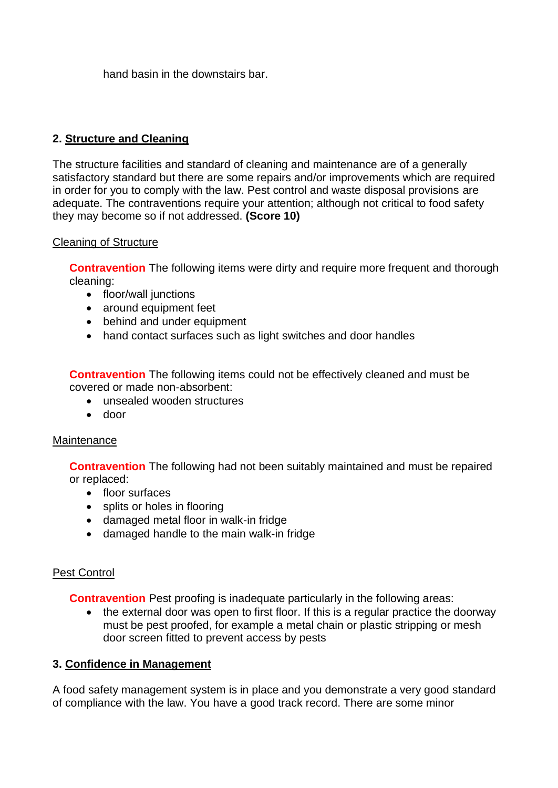hand basin in the downstairs bar.

# **2. Structure and Cleaning**

The structure facilities and standard of cleaning and maintenance are of a generally satisfactory standard but there are some repairs and/or improvements which are required in order for you to comply with the law. Pest control and waste disposal provisions are adequate. The contraventions require your attention; although not critical to food safety they may become so if not addressed. **(Score 10)**

## Cleaning of Structure

**Contravention** The following items were dirty and require more frequent and thorough cleaning:

- floor/wall junctions
- around equipment feet
- behind and under equipment
- hand contact surfaces such as light switches and door handles

**Contravention** The following items could not be effectively cleaned and must be covered or made non-absorbent:

- unsealed wooden structures
- door

### **Maintenance**

**Contravention** The following had not been suitably maintained and must be repaired or replaced:

- floor surfaces
- splits or holes in flooring
- damaged metal floor in walk-in fridge
- damaged handle to the main walk-in fridge

# Pest Control

**Contravention** Pest proofing is inadequate particularly in the following areas:

• the external door was open to first floor. If this is a regular practice the doorway must be pest proofed, for example a metal chain or plastic stripping or mesh door screen fitted to prevent access by pests

### **3. Confidence in Management**

A food safety management system is in place and you demonstrate a very good standard of compliance with the law. You have a good track record. There are some minor